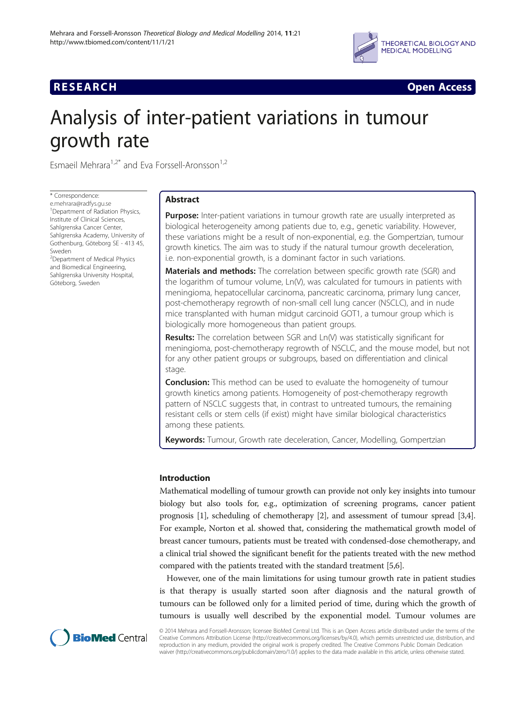



# Analysis of inter-patient variations in tumour growth rate

Esmaeil Mehrara<sup>1,2\*</sup> and Eva Forssell-Aronsson<sup>1,2</sup>

\* Correspondence:

[e.mehrara@radfys.gu.se](mailto:e.mehrara@radfys.gu.se) 1 Department of Radiation Physics, Institute of Clinical Sciences, Sahlgrenska Cancer Center, Sahlgrenska Academy, University of Gothenburg, Göteborg SE - 413 45, Sweden

<sup>2</sup> Department of Medical Physics and Biomedical Engineering, Sahlgrenska University Hospital, Göteborg, Sweden

# Abstract

**Purpose:** Inter-patient variations in tumour growth rate are usually interpreted as biological heterogeneity among patients due to, e.g., genetic variability. However, these variations might be a result of non-exponential, e.g. the Gompertzian, tumour growth kinetics. The aim was to study if the natural tumour growth deceleration, i.e. non-exponential growth, is a dominant factor in such variations.

**Materials and methods:** The correlation between specific growth rate (SGR) and the logarithm of tumour volume, Ln(V), was calculated for tumours in patients with meningioma, hepatocellular carcinoma, pancreatic carcinoma, primary lung cancer, post-chemotherapy regrowth of non-small cell lung cancer (NSCLC), and in nude mice transplanted with human midgut carcinoid GOT1, a tumour group which is biologically more homogeneous than patient groups.

Results: The correlation between SGR and Ln(V) was statistically significant for meningioma, post-chemotherapy regrowth of NSCLC, and the mouse model, but not for any other patient groups or subgroups, based on differentiation and clinical stage.

**Conclusion:** This method can be used to evaluate the homogeneity of tumour growth kinetics among patients. Homogeneity of post-chemotherapy regrowth pattern of NSCLC suggests that, in contrast to untreated tumours, the remaining resistant cells or stem cells (if exist) might have similar biological characteristics among these patients.

**Keywords:** Tumour, Growth rate deceleration, Cancer, Modelling, Gompertzian

# Introduction

Mathematical modelling of tumour growth can provide not only key insights into tumour biology but also tools for, e.g., optimization of screening programs, cancer patient prognosis [\[1](#page-9-0)], scheduling of chemotherapy [\[2](#page-9-0)], and assessment of tumour spread [[3](#page-9-0),[4](#page-9-0)]. For example, Norton et al. showed that, considering the mathematical growth model of breast cancer tumours, patients must be treated with condensed-dose chemotherapy, and a clinical trial showed the significant benefit for the patients treated with the new method compared with the patients treated with the standard treatment [[5,6](#page-9-0)].

However, one of the main limitations for using tumour growth rate in patient studies is that therapy is usually started soon after diagnosis and the natural growth of tumours can be followed only for a limited period of time, during which the growth of tumours is usually well described by the exponential model. Tumour volumes are



© 2014 Mehrara and Forssell-Aronsson; licensee BioMed Central Ltd. This is an Open Access article distributed under the terms of the Creative Commons Attribution License (<http://creativecommons.org/licenses/by/4.0>), which permits unrestricted use, distribution, and reproduction in any medium, provided the original work is properly credited. The Creative Commons Public Domain Dedication waiver (<http://creativecommons.org/publicdomain/zero/1.0/>) applies to the data made available in this article, unless otherwise stated.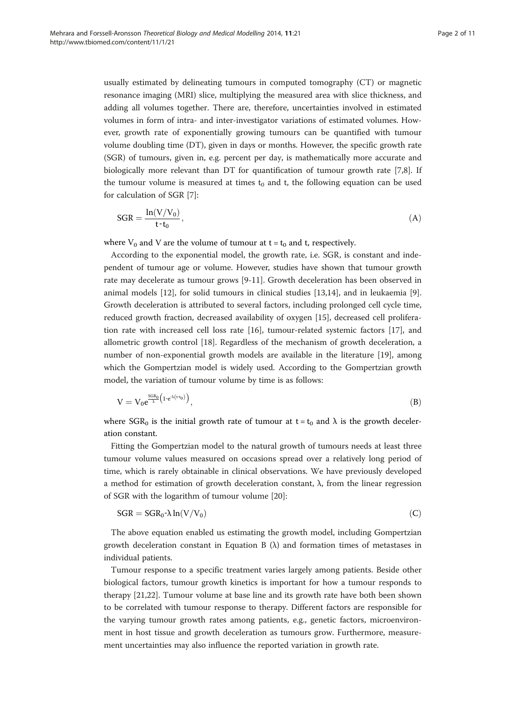<span id="page-1-0"></span>usually estimated by delineating tumours in computed tomography (CT) or magnetic resonance imaging (MRI) slice, multiplying the measured area with slice thickness, and adding all volumes together. There are, therefore, uncertainties involved in estimated volumes in form of intra- and inter-investigator variations of estimated volumes. However, growth rate of exponentially growing tumours can be quantified with tumour volume doubling time (DT), given in days or months. However, the specific growth rate (SGR) of tumours, given in, e.g. percent per day, is mathematically more accurate and biologically more relevant than DT for quantification of tumour growth rate [[7,8\]](#page-9-0). If the tumour volume is measured at times  $t_0$  and t, the following equation can be used for calculation of SGR [[7\]](#page-9-0):

$$
SGR = \frac{\ln(V/V_0)}{t \cdot t_0},\tag{A}
$$

where  $V_0$  and V are the volume of tumour at  $t = t_0$  and t, respectively.

According to the exponential model, the growth rate, i.e. SGR, is constant and independent of tumour age or volume. However, studies have shown that tumour growth rate may decelerate as tumour grows [[9-11\]](#page-9-0). Growth deceleration has been observed in animal models [[12\]](#page-9-0), for solid tumours in clinical studies [[13](#page-9-0),[14](#page-9-0)], and in leukaemia [\[9](#page-9-0)]. Growth deceleration is attributed to several factors, including prolonged cell cycle time, reduced growth fraction, decreased availability of oxygen [\[15\]](#page-9-0), decreased cell proliferation rate with increased cell loss rate [[16](#page-9-0)], tumour-related systemic factors [\[17\]](#page-9-0), and allometric growth control [[18](#page-9-0)]. Regardless of the mechanism of growth deceleration, a number of non-exponential growth models are available in the literature [[19\]](#page-9-0), among which the Gompertzian model is widely used. According to the Gompertzian growth model, the variation of tumour volume by time is as follows:

$$
V = V_0 e^{\frac{SGR_0}{\lambda} \left( 1 \cdot e^{\lambda (t \cdot t_0)} \right)}, \tag{B}
$$

where SGR<sub>0</sub> is the initial growth rate of tumour at  $t = t_0$  and  $\lambda$  is the growth deceleration constant.

Fitting the Gompertzian model to the natural growth of tumours needs at least three tumour volume values measured on occasions spread over a relatively long period of time, which is rarely obtainable in clinical observations. We have previously developed a method for estimation of growth deceleration constant, λ, from the linear regression of SGR with the logarithm of tumour volume [\[20](#page-9-0)]:

$$
SGR = SGR_0 - \lambda \ln(V/V_0)
$$
 (C)

The above equation enabled us estimating the growth model, including Gompertzian growth deceleration constant in Equation B  $(\lambda)$  and formation times of metastases in individual patients.

Tumour response to a specific treatment varies largely among patients. Beside other biological factors, tumour growth kinetics is important for how a tumour responds to therapy [\[21,22](#page-9-0)]. Tumour volume at base line and its growth rate have both been shown to be correlated with tumour response to therapy. Different factors are responsible for the varying tumour growth rates among patients, e.g., genetic factors, microenvironment in host tissue and growth deceleration as tumours grow. Furthermore, measurement uncertainties may also influence the reported variation in growth rate.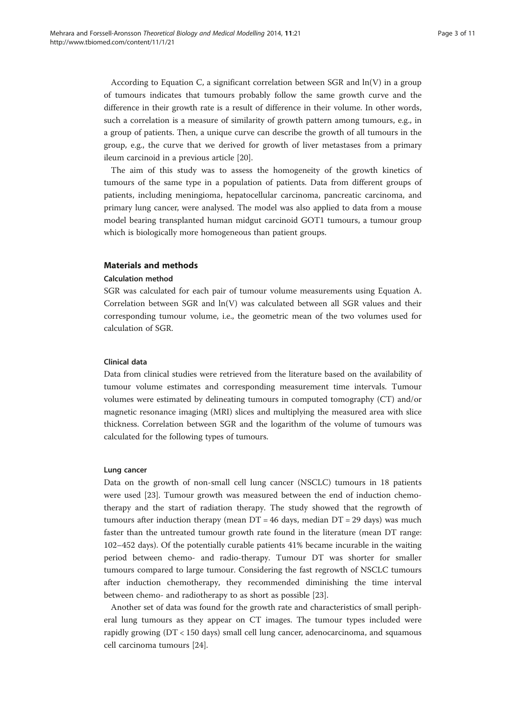According to Equation [C,](#page-1-0) a significant correlation between SGR and  $ln(V)$  in a group of tumours indicates that tumours probably follow the same growth curve and the difference in their growth rate is a result of difference in their volume. In other words, such a correlation is a measure of similarity of growth pattern among tumours, e.g., in a group of patients. Then, a unique curve can describe the growth of all tumours in the group, e.g., the curve that we derived for growth of liver metastases from a primary ileum carcinoid in a previous article [\[20](#page-9-0)].

The aim of this study was to assess the homogeneity of the growth kinetics of tumours of the same type in a population of patients. Data from different groups of patients, including meningioma, hepatocellular carcinoma, pancreatic carcinoma, and primary lung cancer, were analysed. The model was also applied to data from a mouse model bearing transplanted human midgut carcinoid GOT1 tumours, a tumour group which is biologically more homogeneous than patient groups.

## Materials and methods

#### Calculation method

SGR was calculated for each pair of tumour volume measurements using Equation [A](#page-1-0). Correlation between SGR and ln(V) was calculated between all SGR values and their corresponding tumour volume, i.e., the geometric mean of the two volumes used for calculation of SGR.

## Clinical data

Data from clinical studies were retrieved from the literature based on the availability of tumour volume estimates and corresponding measurement time intervals. Tumour volumes were estimated by delineating tumours in computed tomography (CT) and/or magnetic resonance imaging (MRI) slices and multiplying the measured area with slice thickness. Correlation between SGR and the logarithm of the volume of tumours was calculated for the following types of tumours.

#### Lung cancer

Data on the growth of non-small cell lung cancer (NSCLC) tumours in 18 patients were used [[23](#page-9-0)]. Tumour growth was measured between the end of induction chemotherapy and the start of radiation therapy. The study showed that the regrowth of tumours after induction therapy (mean  $DT = 46$  days, median  $DT = 29$  days) was much faster than the untreated tumour growth rate found in the literature (mean DT range: 102–452 days). Of the potentially curable patients 41% became incurable in the waiting period between chemo- and radio-therapy. Tumour DT was shorter for smaller tumours compared to large tumour. Considering the fast regrowth of NSCLC tumours after induction chemotherapy, they recommended diminishing the time interval between chemo- and radiotherapy to as short as possible [[23\]](#page-9-0).

Another set of data was found for the growth rate and characteristics of small peripheral lung tumours as they appear on CT images. The tumour types included were rapidly growing (DT < 150 days) small cell lung cancer, adenocarcinoma, and squamous cell carcinoma tumours [[24](#page-9-0)].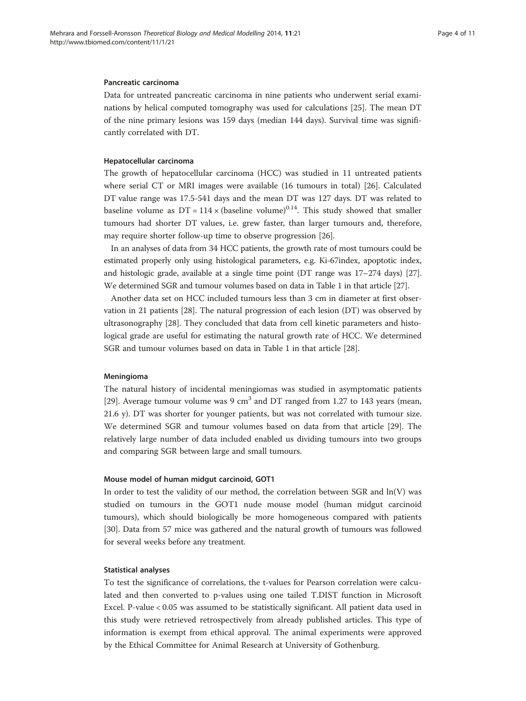#### Pancreatic carcinoma

Data for untreated pancreatic carcinoma in nine patients who underwent serial examinations by helical computed tomography was used for calculations [\[25](#page-9-0)]. The mean DT of the nine primary lesions was 159 days (median 144 days). Survival time was significantly correlated with DT.

#### Hepatocellular carcinoma

The growth of hepatocellular carcinoma (HCC) was studied in 11 untreated patients where serial CT or MRI images were available (16 tumours in total) [\[26](#page-9-0)]. Calculated DT value range was 17.5-541 days and the mean DT was 127 days. DT was related to baseline volume as  $DT = 114 \times (baseline volume)^{0.14}$ . This study showed that smaller tumours had shorter DT values, i.e. grew faster, than larger tumours and, therefore, may require shorter follow-up time to observe progression [\[26\]](#page-9-0).

In an analyses of data from 34 HCC patients, the growth rate of most tumours could be estimated properly only using histological parameters, e.g. Ki-67index, apoptotic index, and histologic grade, available at a single time point (DT range was 17–274 days) [[27](#page-9-0)]. We determined SGR and tumour volumes based on data in Table [1](#page-4-0) in that article [[27\]](#page-9-0).

Another data set on HCC included tumours less than 3 cm in diameter at first observation in 21 patients [\[28\]](#page-10-0). The natural progression of each lesion (DT) was observed by ultrasonography [\[28](#page-10-0)]. They concluded that data from cell kinetic parameters and histological grade are useful for estimating the natural growth rate of HCC. We determined SGR and tumour volumes based on data in Table [1](#page-4-0) in that article [\[28](#page-10-0)].

## Meningioma

The natural history of incidental meningiomas was studied in asymptomatic patients [[29\]](#page-10-0). Average tumour volume was 9 cm<sup>3</sup> and DT ranged from 1.27 to 143 years (mean, 21.6 y). DT was shorter for younger patients, but was not correlated with tumour size. We determined SGR and tumour volumes based on data from that article [\[29\]](#page-10-0). The relatively large number of data included enabled us dividing tumours into two groups and comparing SGR between large and small tumours.

#### Mouse model of human midgut carcinoid, GOT1

In order to test the validity of our method, the correlation between SGR and ln(V) was studied on tumours in the GOT1 nude mouse model (human midgut carcinoid tumours), which should biologically be more homogeneous compared with patients [[30\]](#page-10-0). Data from 57 mice was gathered and the natural growth of tumours was followed for several weeks before any treatment.

#### Statistical analyses

To test the significance of correlations, the t-values for Pearson correlation were calculated and then converted to p-values using one tailed T.DIST function in Microsoft Excel. P-value < 0.05 was assumed to be statistically significant. All patient data used in this study were retrieved retrospectively from already published articles. This type of information is exempt from ethical approval. The animal experiments were approved by the Ethical Committee for Animal Research at University of Gothenburg.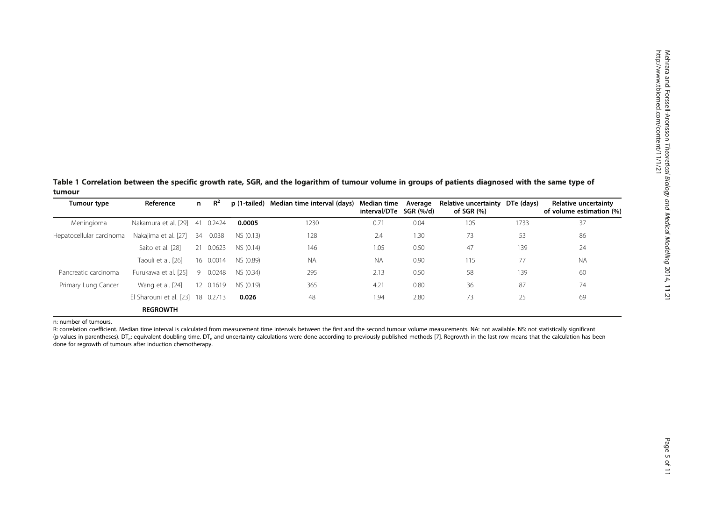<span id="page-4-0"></span>Table 1 Correlation between the specific growth rate, SGR, and the logarithm of tumour volume in groups of patients diagnosed with the same type of tumour

| Tumour type              | Reference                         | n. | $R^2$     |           | p (1-tailed) Median time interval (days) | Median time<br>interval/DTe SGR (%/d) | Average | Relative uncertainty<br>of SGR $(%)$ | DTe (days) | Relative uncertainty<br>of volume estimation (%) |
|--------------------------|-----------------------------------|----|-----------|-----------|------------------------------------------|---------------------------------------|---------|--------------------------------------|------------|--------------------------------------------------|
| Meningioma               | Nakamura et al. [29]              |    | 41 0.2424 | 0.0005    | 1230                                     | 0.71                                  | 0.04    | 105                                  | 1733       | 37                                               |
| Hepatocellular carcinoma | Nakajima et al. [27]              | 34 | 0.038     | NS (0.13) | 128                                      | 2.4                                   | 1.30    | 73                                   | 53         | 86                                               |
|                          | Saito et al. [28]                 |    | 21 0.0623 | NS (0.14) | 146                                      | 1.05                                  | 0.50    | 47                                   | 139        | 24                                               |
|                          | Taouli et al. [26]                |    | 16 0.0014 | NS (0.89) | <b>NA</b>                                | <b>NA</b>                             | 0.90    | 115                                  | 77         | <b>NA</b>                                        |
| Pancreatic carcinoma     | Furukawa et al. [25]              | -9 | 0.0248    | NS (0.34) | 295                                      | 2.13                                  | 0.50    | 58                                   | 139        | 60                                               |
| Primary Lung Cancer      | Wang et al. [24]                  |    | 12 0.1619 | NS (0.19) | 365                                      | 4.21                                  | 0.80    | 36                                   | 87         | 74                                               |
|                          | El Sharouni et al. [23] 18 0.2713 |    |           | 0.026     | 48                                       | 1.94                                  | 2.80    | 73                                   | 25         | 69                                               |
|                          | <b>REGROWTH</b>                   |    |           |           |                                          |                                       |         |                                      |            |                                                  |

n: number of tumours.

R: correlation coefficient. Median time interval is calculated from measurement time intervals between the first and the second tumour volume measurements. NA: not available. NS: not statistically significant (p-values in parentheses). DT<sub>e</sub>: equivalent doubling time. DT<sub>e</sub> and uncertainty calculations were done according to previously published methods [[7](#page-9-0)]. Regrowth in the last row means that the calculation has been done for regrowth of tumours after induction chemotherapy.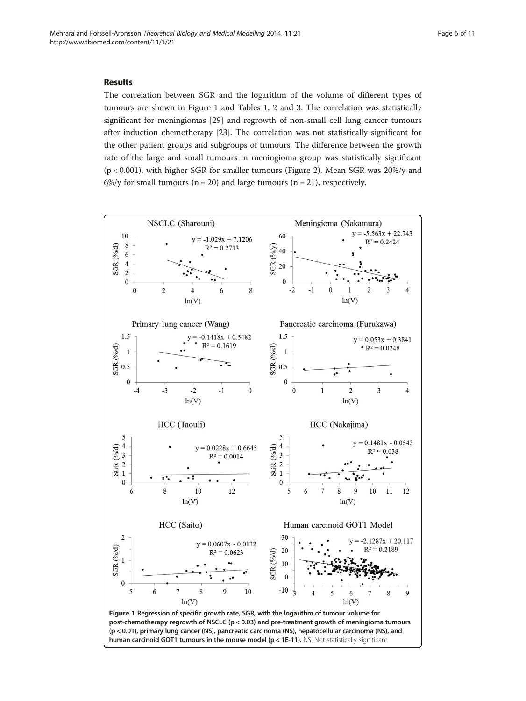## <span id="page-5-0"></span>Results

The correlation between SGR and the logarithm of the volume of different types of tumours are shown in Figure 1 and Tables [1](#page-4-0), [2](#page-6-0) and [3.](#page-6-0) The correlation was statistically significant for meningiomas [\[29](#page-10-0)] and regrowth of non-small cell lung cancer tumours after induction chemotherapy [[23\]](#page-9-0). The correlation was not statistically significant for the other patient groups and subgroups of tumours. The difference between the growth rate of the large and small tumours in meningioma group was statistically significant (p < 0.001), with higher SGR for smaller tumours (Figure [2\)](#page-7-0). Mean SGR was 20%/y and 6%/y for small tumours ( $n = 20$ ) and large tumours ( $n = 21$ ), respectively.

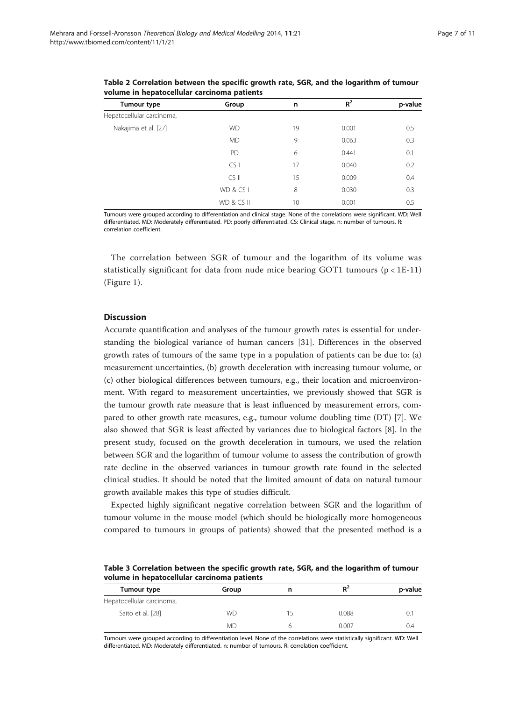| Tumour type               | Group      | n  | $R^2$ | p-value |
|---------------------------|------------|----|-------|---------|
| Hepatocellular carcinoma, |            |    |       |         |
| Nakajima et al. [27]      | <b>WD</b>  | 19 | 0.001 | 0.5     |
|                           | <b>MD</b>  | 9  | 0.063 | 0.3     |
|                           | PD         | 6  | 0.441 | 0.1     |
|                           | CS         | 17 | 0.040 | 0.2     |
|                           | $CS$ II    | 15 | 0.009 | 0.4     |
|                           | WD & CS I  | 8  | 0.030 | 0.3     |
|                           | WD & CS II | 10 | 0.001 | 0.5     |

<span id="page-6-0"></span>Table 2 Correlation between the specific growth rate, SGR, and the logarithm of tumour volume in hepatocellular carcinoma patients

Tumours were grouped according to differentiation and clinical stage. None of the correlations were significant. WD: Well differentiated. MD: Moderately differentiated. PD: poorly differentiated. CS: Clinical stage. n: number of tumours. R: correlation coefficient.

The correlation between SGR of tumour and the logarithm of its volume was statistically significant for data from nude mice bearing GOT1 tumours ( $p < 1E-11$ ) (Figure [1\)](#page-5-0).

#### **Discussion**

Accurate quantification and analyses of the tumour growth rates is essential for understanding the biological variance of human cancers [[31\]](#page-10-0). Differences in the observed growth rates of tumours of the same type in a population of patients can be due to: (a) measurement uncertainties, (b) growth deceleration with increasing tumour volume, or (c) other biological differences between tumours, e.g., their location and microenvironment. With regard to measurement uncertainties, we previously showed that SGR is the tumour growth rate measure that is least influenced by measurement errors, compared to other growth rate measures, e.g., tumour volume doubling time (DT) [[7\]](#page-9-0). We also showed that SGR is least affected by variances due to biological factors [\[8\]](#page-9-0). In the present study, focused on the growth deceleration in tumours, we used the relation between SGR and the logarithm of tumour volume to assess the contribution of growth rate decline in the observed variances in tumour growth rate found in the selected clinical studies. It should be noted that the limited amount of data on natural tumour growth available makes this type of studies difficult.

Expected highly significant negative correlation between SGR and the logarithm of tumour volume in the mouse model (which should be biologically more homogeneous compared to tumours in groups of patients) showed that the presented method is a

Table 3 Correlation between the specific growth rate, SGR, and the logarithm of tumour volume in hepatocellular carcinoma patients

| Tumour type               | Group     |    | $R^2$ | p-value |
|---------------------------|-----------|----|-------|---------|
| Hepatocellular carcinoma, |           |    |       |         |
| Saito et al. [28]         | <b>WD</b> | 15 | 0.088 | U.      |
|                           | <b>MD</b> |    | 0.007 | 0.4     |

Tumours were grouped according to differentiation level. None of the correlations were statistically significant. WD: Well differentiated. MD: Moderately differentiated. n: number of tumours. R: correlation coefficient.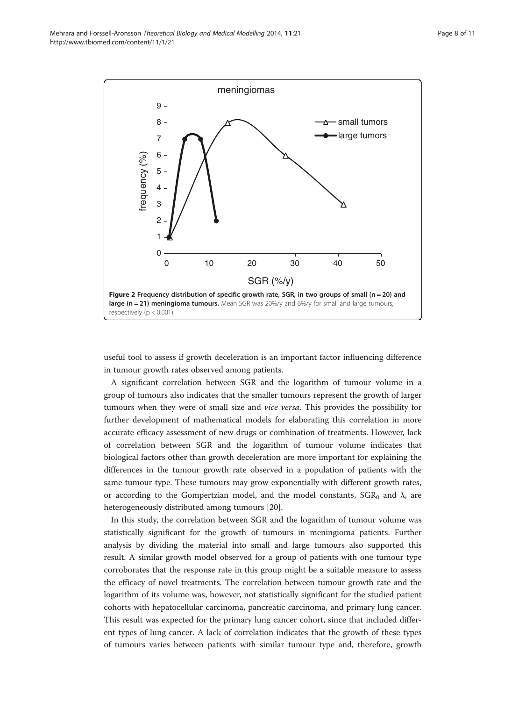<span id="page-7-0"></span>

useful tool to assess if growth deceleration is an important factor influencing difference in tumour growth rates observed among patients.

A significant correlation between SGR and the logarithm of tumour volume in a group of tumours also indicates that the smaller tumours represent the growth of larger tumours when they were of small size and vice versa. This provides the possibility for further development of mathematical models for elaborating this correlation in more accurate efficacy assessment of new drugs or combination of treatments. However, lack of correlation between SGR and the logarithm of tumour volume indicates that biological factors other than growth deceleration are more important for explaining the differences in the tumour growth rate observed in a population of patients with the same tumour type. These tumours may grow exponentially with different growth rates, or according to the Gompertzian model, and the model constants,  $SGR_0$  and  $\lambda$ , are heterogeneously distributed among tumours [\[20](#page-9-0)].

In this study, the correlation between SGR and the logarithm of tumour volume was statistically significant for the growth of tumours in meningioma patients. Further analysis by dividing the material into small and large tumours also supported this result. A similar growth model observed for a group of patients with one tumour type corroborates that the response rate in this group might be a suitable measure to assess the efficacy of novel treatments. The correlation between tumour growth rate and the logarithm of its volume was, however, not statistically significant for the studied patient cohorts with hepatocellular carcinoma, pancreatic carcinoma, and primary lung cancer. This result was expected for the primary lung cancer cohort, since that included different types of lung cancer. A lack of correlation indicates that the growth of these types of tumours varies between patients with similar tumour type and, therefore, growth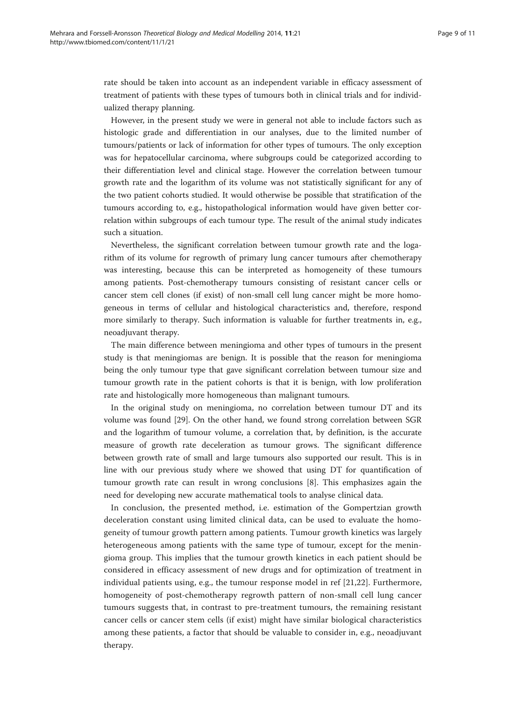rate should be taken into account as an independent variable in efficacy assessment of treatment of patients with these types of tumours both in clinical trials and for individualized therapy planning.

However, in the present study we were in general not able to include factors such as histologic grade and differentiation in our analyses, due to the limited number of tumours/patients or lack of information for other types of tumours. The only exception was for hepatocellular carcinoma, where subgroups could be categorized according to their differentiation level and clinical stage. However the correlation between tumour growth rate and the logarithm of its volume was not statistically significant for any of the two patient cohorts studied. It would otherwise be possible that stratification of the tumours according to, e.g., histopathological information would have given better correlation within subgroups of each tumour type. The result of the animal study indicates such a situation.

Nevertheless, the significant correlation between tumour growth rate and the logarithm of its volume for regrowth of primary lung cancer tumours after chemotherapy was interesting, because this can be interpreted as homogeneity of these tumours among patients. Post-chemotherapy tumours consisting of resistant cancer cells or cancer stem cell clones (if exist) of non-small cell lung cancer might be more homogeneous in terms of cellular and histological characteristics and, therefore, respond more similarly to therapy. Such information is valuable for further treatments in, e.g., neoadjuvant therapy.

The main difference between meningioma and other types of tumours in the present study is that meningiomas are benign. It is possible that the reason for meningioma being the only tumour type that gave significant correlation between tumour size and tumour growth rate in the patient cohorts is that it is benign, with low proliferation rate and histologically more homogeneous than malignant tumours.

In the original study on meningioma, no correlation between tumour DT and its volume was found [\[29](#page-10-0)]. On the other hand, we found strong correlation between SGR and the logarithm of tumour volume, a correlation that, by definition, is the accurate measure of growth rate deceleration as tumour grows. The significant difference between growth rate of small and large tumours also supported our result. This is in line with our previous study where we showed that using DT for quantification of tumour growth rate can result in wrong conclusions [[8\]](#page-9-0). This emphasizes again the need for developing new accurate mathematical tools to analyse clinical data.

In conclusion, the presented method, i.e. estimation of the Gompertzian growth deceleration constant using limited clinical data, can be used to evaluate the homogeneity of tumour growth pattern among patients. Tumour growth kinetics was largely heterogeneous among patients with the same type of tumour, except for the meningioma group. This implies that the tumour growth kinetics in each patient should be considered in efficacy assessment of new drugs and for optimization of treatment in individual patients using, e.g., the tumour response model in ref [[21,22\]](#page-9-0). Furthermore, homogeneity of post-chemotherapy regrowth pattern of non-small cell lung cancer tumours suggests that, in contrast to pre-treatment tumours, the remaining resistant cancer cells or cancer stem cells (if exist) might have similar biological characteristics among these patients, a factor that should be valuable to consider in, e.g., neoadjuvant therapy.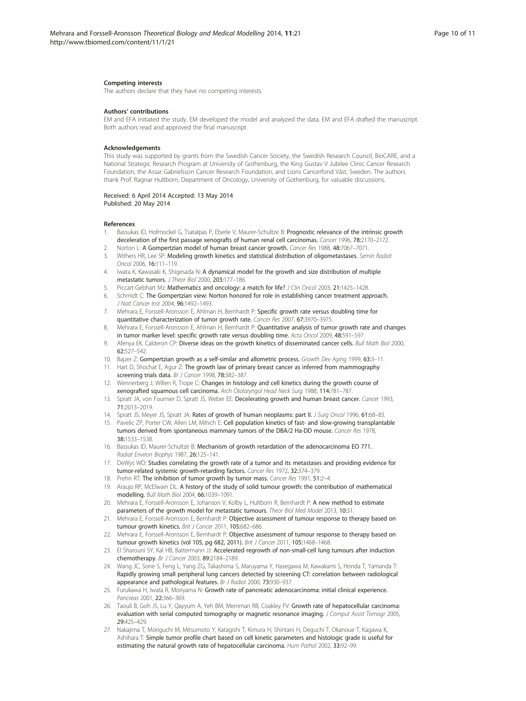#### <span id="page-9-0"></span>Competing interests

The authors declare that they have no competing interests.

#### Authors' contributions

EM and EFA initiated the study. EM developed the model and analyzed the data. EM and EFA drafted the manuscript. Both authors read and approved the final manuscript.

#### Acknowledgements

This study was supported by grants from the Swedish Cancer Society, the Swedish Research Council, BioCARE, and a National Strategic Research Program at University of Gothenburg, the King Gustav V Jubilee Clinic Cancer Research Foundation, the Assar Gabrielsson Cancer Research Foundation, and Lions Cancerfond Väst, Sweden. The authors thank Prof. Ragnar Hultborn, Department of Oncology, University of Gothenburg, for valuable discussions.

#### Received: 6 April 2014 Accepted: 13 May 2014 Published: 20 May 2014

#### References

- 1. Bassukas ID, Hofmockel G, Tsatalpas P, Eberle V, Maurer-Schultze B: Prognostic relevance of the intrinsic growth deceleration of the first passage xenografts of human renal cell carcinomas. Cancer 1996, 78:2170-2172.
- 2. Norton L: A Gompertzian model of human breast cancer growth. Cancer Res 1988, 48:7067–7071.
- 3. Withers HR, Lee SP: Modeling growth kinetics and statistical distribution of oligometastases. Semin Radiat Oncol 2006, 16:111–119.
- 4. Iwata K, Kawasaki K, Shigesada N: A dynamical model for the growth and size distribution of multiple metastatic tumors. J Theor Biol 2000, 203:177–186.
- 5. Piccart-Gebhart MJ: Mathematics and oncology: a match for life? J Clin Oncol 2003, 21:1425–1428.
- 6. Schmidt C: The Gompertzian view: Norton honored for role in establishing cancer treatment approach. J Natl Cancer Inst 2004, 96:1492-1493.
- 7. Mehrara E, Forssell-Aronsson E, Ahlman H, Bernhardt P: Specific growth rate versus doubling time for quantitative characterization of tumor growth rate. Cancer Res 2007, 67:3970–3975.
- 8. Mehrara E, Forssell-Aronsson E, Ahlman H, Bernhardt P: Quantitative analysis of tumor growth rate and changes in tumor marker level: specific growth rate versus doubling time. Acta Oncol 2009, 48:591-597
- 9. Afenya EK, Calderon CP: Diverse ideas on the growth kinetics of disseminated cancer cells. Bull Math Biol 2000, 62:527–542.
- 10. Bajzer Z: Gompertzian growth as a self-similar and allometric process. Growth Dev Aging 1999, 63:3-11.
- 11. Hart D, Shochat E, Agur Z: The growth law of primary breast cancer as inferred from mammography screening trials data. Br J Cancer 1998, 78:382–387.
- 12. Wennerberg J, Willen R, Trope C: Changes in histology and cell kinetics during the growth course of xenografted squamous cell carcinoma. Arch Otolaryngol Head Neck Surg 1988, 114:781–787.
- 13. Spratt JA, von Fournier D, Spratt JS, Weber EE: Decelerating growth and human breast cancer. Cancer 1993, 71:2013–2019.
- 14. Spratt JS, Meyer JS, Spratt JA: Rates of growth of human neoplasms: part II. J Surg Oncol 1996, 61:68-83.
- 15. Pavelic ZP, Porter CW, Allen LM, Mihich E: Cell population kinetics of fast- and slow-growing transplantable tumors derived from spontaneous mammary tumors of the DBA/2 Ha-DD mouse. Cancer Res 1978, 38:1533–1538.
- 16. Bassukas ID, Maurer-Schultze B: Mechanism of growth retardation of the adenocarcinoma EO 771. Radiat Environ Biophys 1987, 26:125–141.
- 17. DeWys WD: Studies correlating the growth rate of a tumor and its metastases and providing evidence for tumor-related systemic growth-retarding factors. Cancer Res 1972, 32:374–379.
- 18. Prehn RT: The inhibition of tumor growth by tumor mass. Cancer Res 1991, 51:2-4.
- 19. Araujo RP, McElwain DL: A history of the study of solid tumour growth: the contribution of mathematical modelling. Bull Math Biol 2004, 66:1039–1091.
- 20. Mehrara E, Forssell-Aronsson E, Johanson V, Kolby L, Hultborn R, Bernhardt P: A new method to estimate parameters of the growth model for metastatic tumours. Theor Biol Med Model 2013, 10:31
- Mehrara E, Forssell-Aronsson E, Bernhardt P: Objective assessment of tumour response to therapy based on tumour growth kinetics. Brit J Cancer 2011, 105:682-686.
- 22. Mehrara E, Forssell-Aronsson E, Bernhardt P: Objective assessment of tumour response to therapy based on tumour growth kinetics (vol 105, pg 682, 2011). Brit J Cancer 2011, 105:1468-1468.
- 23. El Sharouni SY, Kal HB, Battermann JJ: Accelerated regrowth of non-small-cell lung tumours after induction chemotherapy. Br J Cancer 2003, 89:2184–2189.
- 24. Wang JC, Sone S, Feng L, Yang ZG, Takashima S, Maruyama Y, Hasegawa M, Kawakami S, Honda T, Yamanda T: Rapidly growing small peripheral lung cancers detected by screening CT: correlation between radiological appearance and pathological features. Br J Radiol 2000, 73:930-937.
- 25. Furukawa H, Iwata R, Moriyama N: Growth rate of pancreatic adenocarcinoma: initial clinical experience. Pancreas 2001, 22:366-369
- 26. Taouli B, Goh JS, Lu Y, Qayyum A, Yeh BM, Merriman RB, Coakley FV: Growth rate of hepatocellular carcinoma: evaluation with serial computed tomography or magnetic resonance imaging. J Comput Assist Tomogr 2005, 29:425–429.
- 27. Nakajima T, Moriguchi M, Mitsumoto Y, Katagishi T, Kimura H, Shintani H, Deguchi T, Okanoue T, Kagawa K, Ashihara T: Simple tumor profile chart based on cell kinetic parameters and histologic grade is useful for estimating the natural growth rate of hepatocellular carcinoma. Hum Pathol 2002, 33:92–99.